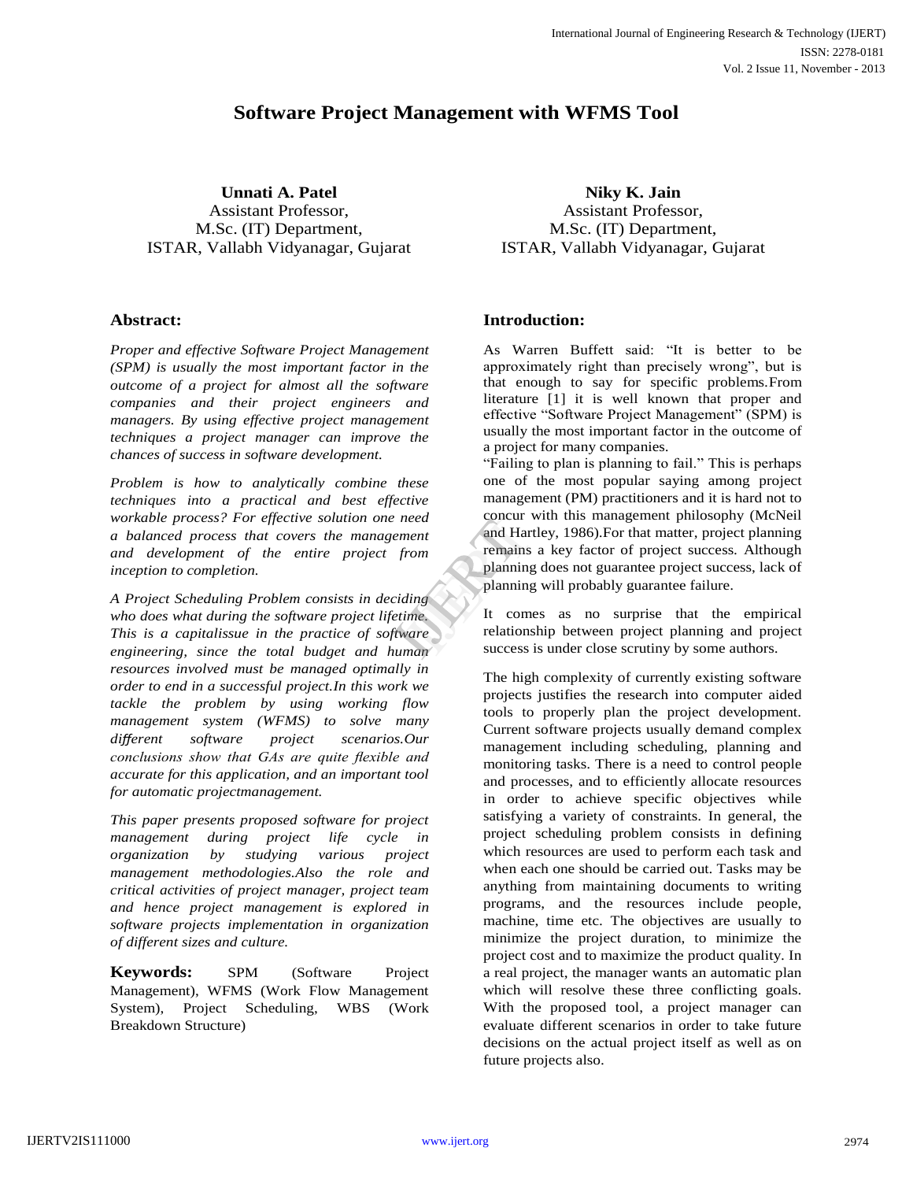# **Software Project Management with WFMS Tool**

**Unnati A. Patel** Assistant Professor, M.Sc. (IT) Department, ISTAR, Vallabh Vidyanagar, Gujarat

# **Abstract:**

*Proper and effective Software Project Management (SPM) is usually the most important factor in the outcome of a project for almost all the software companies and their project engineers and managers. By using effective project management techniques a project manager can improve the chances of success in software development.*

*Problem is how to analytically combine these techniques into a practical and best effective workable process? For effective solution one need a balanced process that covers the management and development of the entire project from inception to completion.*

*A Project Scheduling Problem consists in deciding who does what during the software project lifetime. This is a capitalissue in the practice of software engineering, since the total budget and human resources involved must be managed optimally in order to end in a successful project.In this work we tackle the problem by using working flow management system (WFMS) to solve many different software project scenarios.Our conclusions show that GAs are quite flexible and accurate for this application, and an important tool for automatic projectmanagement.*

*This paper presents proposed software for project management during project life cycle in organization by studying various project management methodologies.Also the role and critical activities of project manager, project team and hence project management is explored in software projects implementation in organization of different sizes and culture.*

**Keywords:** SPM (Software Project Management), WFMS (Work Flow Management System), Project Scheduling, WBS (Work Breakdown Structure)

**Niky K. Jain** Assistant Professor, M.Sc. (IT) Department, ISTAR, Vallabh Vidyanagar, Gujarat

# **Introduction:**

As Warren Buffett said: "It is better to be approximately right than precisely wrong", but is that enough to say for specific problems.From literature [1] it is well known that proper and effective "Software Project Management" (SPM) is usually the most important factor in the outcome of a project for many companies.

"Failing to plan is planning to fail." This is perhaps one of the most popular saying among project management (PM) practitioners and it is hard not to concur with this management philosophy (McNeil and Hartley, 1986).For that matter, project planning remains a key factor of project success. Although planning does not guarantee project success, lack of planning will probably guarantee failure. France Concur William<br>
International Concur William<br>
International Planning<br>
International Concernation<br>
International Concernation<br>
International Concernation<br>
International Concernation<br>
International Concernation<br>
Inter

It comes as no surprise that the empirical relationship between project planning and project success is under close scrutiny by some authors.

The high complexity of currently existing software projects justifies the research into computer aided tools to properly plan the project development. Current software projects usually demand complex management including scheduling, planning and monitoring tasks. There is a need to control people and processes, and to efficiently allocate resources in order to achieve specific objectives while satisfying a variety of constraints. In general, the project scheduling problem consists in defining which resources are used to perform each task and when each one should be carried out. Tasks may be anything from maintaining documents to writing programs, and the resources include people, machine, time etc. The objectives are usually to minimize the project duration, to minimize the project cost and to maximize the product quality. In a real project, the manager wants an automatic plan which will resolve these three conflicting goals. With the proposed tool, a project manager can evaluate different scenarios in order to take future decisions on the actual project itself as well as on future projects also.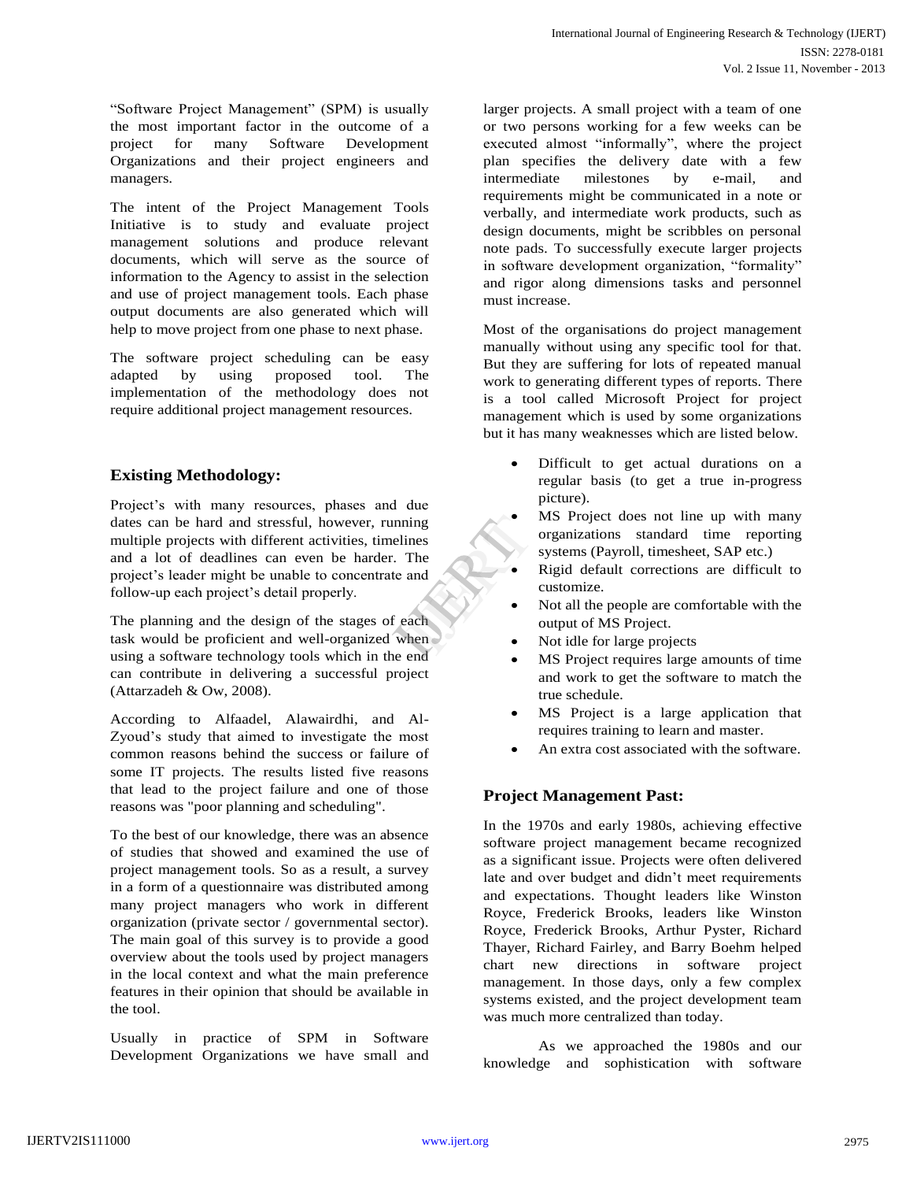"Software Project Management" (SPM) is usually the most important factor in the outcome of a project for many Software Development Organizations and their project engineers and managers.

The intent of the Project Management Tools Initiative is to study and evaluate project management solutions and produce relevant documents, which will serve as the source of information to the Agency to assist in the selection and use of project management tools. Each phase output documents are also generated which will help to move project from one phase to next phase.

The software project scheduling can be easy adapted by using proposed tool. The implementation of the methodology does not require additional project management resources.

## **Existing Methodology:**

Project's with many resources, phases and due dates can be hard and stressful, however, running multiple projects with different activities, timelines and a lot of deadlines can even be harder. The project"s leader might be unable to concentrate and follow-up each project's detail properly. IJERT

The planning and the design of the stages of each task would be proficient and well-organized when using a software technology tools which in the end can contribute in delivering a successful project (Attarzadeh & Ow, 2008).

According to Alfaadel, Alawairdhi, and Al-Zyoud"s study that aimed to investigate the most common reasons behind the success or failure of some IT projects. The results listed five reasons that lead to the project failure and one of those reasons was "poor planning and scheduling".

To the best of our knowledge, there was an absence of studies that showed and examined the use of project management tools. So as a result, a survey in a form of a questionnaire was distributed among many project managers who work in different organization (private sector / governmental sector). The main goal of this survey is to provide a good overview about the tools used by project managers in the local context and what the main preference features in their opinion that should be available in the tool.

Usually in practice of SPM in Software Development Organizations we have small and larger projects. A small project with a team of one or two persons working for a few weeks can be executed almost "informally", where the project plan specifies the delivery date with a few intermediate milestones by e-mail, and requirements might be communicated in a note or verbally, and intermediate work products, such as design documents, might be scribbles on personal note pads. To successfully execute larger projects in software development organization, "formality" and rigor along dimensions tasks and personnel must increase.

Most of the organisations do project management manually without using any specific tool for that. But they are suffering for lots of repeated manual work to generating different types of reports. There is a tool called Microsoft Project for project management which is used by some organizations but it has many weaknesses which are listed below.

- Difficult to get actual durations on a regular basis (to get a true in-progress picture).
- MS Project does not line up with many organizations standard time reporting systems (Payroll, timesheet, SAP etc.)
- Rigid default corrections are difficult to customize.
- Not all the people are comfortable with the output of MS Project.
- Not idle for large projects
- MS Project requires large amounts of time and work to get the software to match the true schedule.
- MS Project is a large application that requires training to learn and master.
- An extra cost associated with the software.

## **Project Management Past:**

In the 1970s and early 1980s, achieving effective software project management became recognized as a significant issue. Projects were often delivered late and over budget and didn"t meet requirements and expectations. Thought leaders like Winston Royce, Frederick Brooks, leaders like Winston Royce, Frederick Brooks, Arthur Pyster, Richard Thayer, Richard Fairley, and Barry Boehm helped chart new directions in software project management. In those days, only a few complex systems existed, and the project development team was much more centralized than today.

As we approached the 1980s and our knowledge and sophistication with software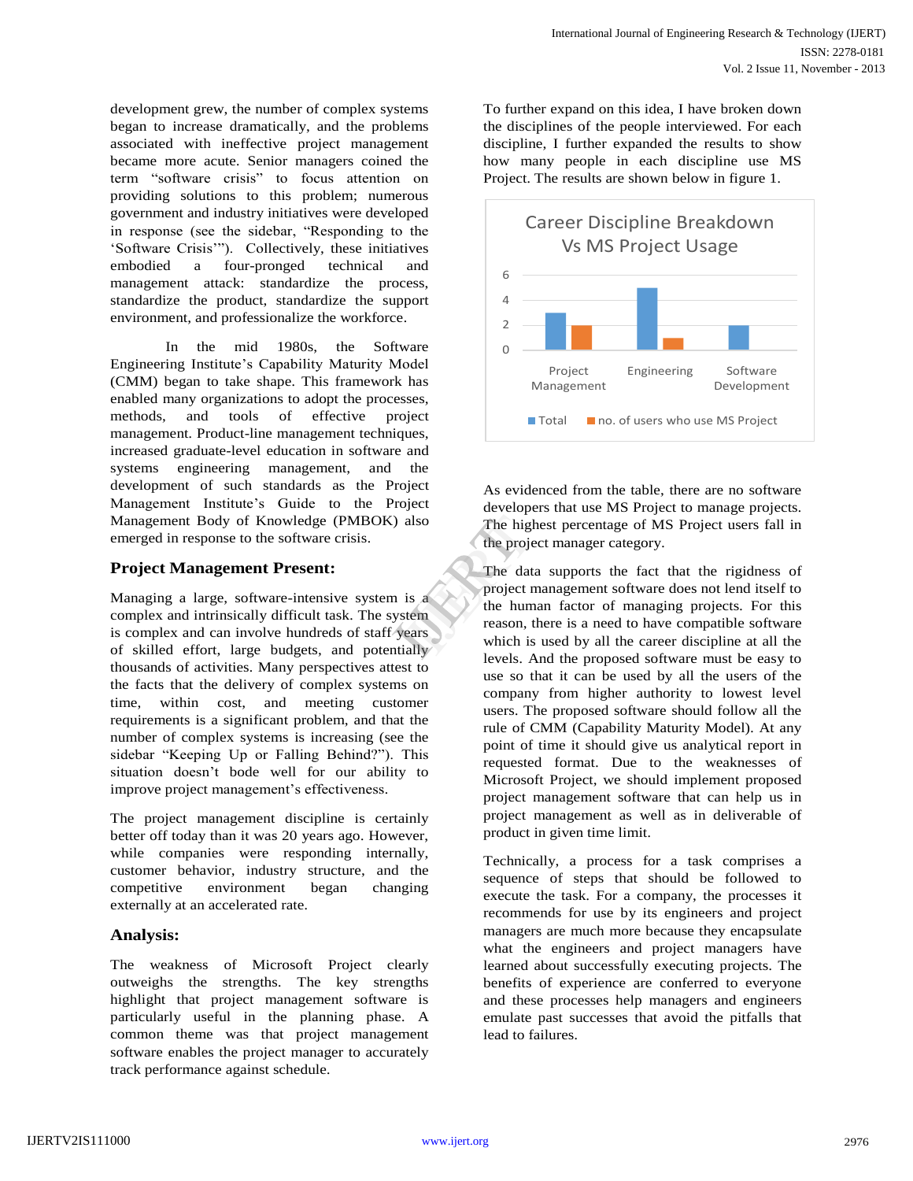development grew, the number of complex systems began to increase dramatically, and the problems associated with ineffective project management became more acute. Senior managers coined the term "software crisis" to focus attention on providing solutions to this problem; numerous government and industry initiatives were developed in response (see the sidebar, "Responding to the "Software Crisis""). Collectively, these initiatives embodied a four-pronged technical and management attack: standardize the process, standardize the product, standardize the support environment, and professionalize the workforce.

In the mid 1980s, the Software Engineering Institute"s Capability Maturity Model (CMM) began to take shape. This framework has enabled many organizations to adopt the processes, methods, and tools of effective project management. Product-line management techniques, increased graduate-level education in software and systems engineering management, and the development of such standards as the Project Management Institute"s Guide to the Project Management Body of Knowledge (PMBOK) also emerged in response to the software crisis.

#### **Project Management Present:**

Managing a large, software-intensive system is a complex and intrinsically difficult task. The system is complex and can involve hundreds of staff years of skilled effort, large budgets, and potentially thousands of activities. Many perspectives attest to the facts that the delivery of complex systems on time, within cost, and meeting customer requirements is a significant problem, and that the number of complex systems is increasing (see the sidebar "Keeping Up or Falling Behind?"). This situation doesn"t bode well for our ability to improve project management's effectiveness.

The project management discipline is certainly better off today than it was 20 years ago. However, while companies were responding internally, customer behavior, industry structure, and the competitive environment began changing externally at an accelerated rate.

## **Analysis:**

The weakness of Microsoft Project clearly outweighs the strengths. The key strengths highlight that project management software is particularly useful in the planning phase. A common theme was that project management software enables the project manager to accurately track performance against schedule.

To further expand on this idea, I have broken down the disciplines of the people interviewed. For each discipline, I further expanded the results to show how many people in each discipline use MS Project. The results are shown below in figure 1.



As evidenced from the table, there are no software developers that use MS Project to manage projects. The highest percentage of MS Project users fall in the project manager category.

The data supports the fact that the rigidness of project management software does not lend itself to the human factor of managing projects. For this reason, there is a need to have compatible software which is used by all the career discipline at all the levels. And the proposed software must be easy to use so that it can be used by all the users of the company from higher authority to lowest level users. The proposed software should follow all the rule of CMM (Capability Maturity Model). At any point of time it should give us analytical report in requested format. Due to the weaknesses of Microsoft Project, we should implement proposed project management software that can help us in project management as well as in deliverable of product in given time limit. also<br>
The highest<br>
the project<br>
The data<br>
is a<br>
The data<br>
project ma<br>
the humar<br>
reason, the<br>
which is u<br>
which is u

> Technically, a process for a task comprises a sequence of steps that should be followed to execute the task. For a company, the processes it recommends for use by its engineers and project managers are much more because they encapsulate what the engineers and project managers have learned about successfully executing projects. The benefits of experience are conferred to everyone and these processes help managers and engineers emulate past successes that avoid the pitfalls that lead to failures.